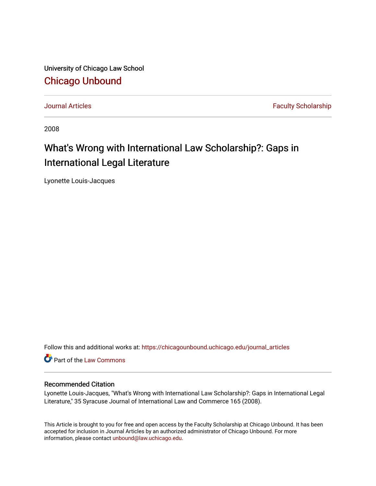University of Chicago Law School [Chicago Unbound](https://chicagounbound.uchicago.edu/)

[Journal Articles](https://chicagounbound.uchicago.edu/journal_articles) **Faculty Scholarship Journal Articles** 

2008

# What's Wrong with International Law Scholarship?: Gaps in International Legal Literature

Lyonette Louis-Jacques

Follow this and additional works at: [https://chicagounbound.uchicago.edu/journal\\_articles](https://chicagounbound.uchicago.edu/journal_articles?utm_source=chicagounbound.uchicago.edu%2Fjournal_articles%2F2809&utm_medium=PDF&utm_campaign=PDFCoverPages) 

Part of the [Law Commons](http://network.bepress.com/hgg/discipline/578?utm_source=chicagounbound.uchicago.edu%2Fjournal_articles%2F2809&utm_medium=PDF&utm_campaign=PDFCoverPages)

#### Recommended Citation

Lyonette Louis-Jacques, "What's Wrong with International Law Scholarship?: Gaps in International Legal Literature," 35 Syracuse Journal of International Law and Commerce 165 (2008).

This Article is brought to you for free and open access by the Faculty Scholarship at Chicago Unbound. It has been accepted for inclusion in Journal Articles by an authorized administrator of Chicago Unbound. For more information, please contact [unbound@law.uchicago.edu](mailto:unbound@law.uchicago.edu).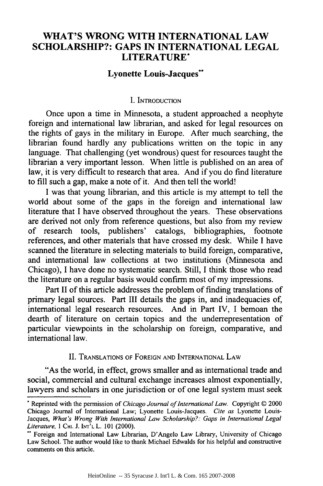# **WHAT'S WRONG WITH INTERNATIONAL LAW SCHOLARSHIP?: GAPS IN INTERNATIONAL LEGAL LITERATURE\***

#### **Lyonette Louis-Jacques\*\***

#### I. INTRODUCTION

Once upon a time in Minnesota, a student approached a neophyte foreign and international law librarian, and asked for legal resources on the rights of gays in the military in Europe. After much searching, the librarian found hardly any publications written on the topic in any language. That challenging (yet wondrous) quest for resources taught the librarian a very important lesson. When little is published on an area of law, it is very difficult to research that area. And if you do find literature to fill such a gap, make a note of it. And then tell the world!

I was that young librarian, and this article is my attempt to tell the world about some of the gaps in the foreign and international law literature that I have observed throughout the years. These observations are derived not only from reference questions, but also from my review of research tools, publishers' catalogs, bibliographies, footnote references, and other materials that have crossed my desk. While I have scanned the literature in selecting materials to build foreign, comparative, and international law collections at two institutions (Minnesota and Chicago), I have done no systematic search. Still, I think those who read the literature on a regular basis would confirm most of my impressions.

Part II of this article addresses the problem of finding translations of primary legal sources. Part III details the gaps in, and inadequacies of, international legal research resources. And in Part IV, I bemoan the dearth of literature on certain topics and the underrepresentation of particular viewpoints in the scholarship on foreign, comparative, and international law.

#### II. TRANSLATIONS OF FOREIGN AND INTERNATIONAL LAW

"As the world, in effect, grows smaller and as international trade and social, commercial and cultural exchange increases almost exponentially, lawyers and scholars in one jurisdiction or of one legal system must seek

**<sup>\*</sup>** Reprinted with the permission of *Chicago Journal of International Law.* Copyright © 2000 Chicago Journal of International Law; Lyonette Louis-Jacques. *Cite as* Lyonette Louis-Jacques, *What's Wrong With International Law Scholarship?: Gaps in International Legal Literature,* 1 **CHI. J. INT'L** L. **101** (2000).

<sup>&</sup>quot;" Foreign and International Law Librarian, D'Angelo Law Library, University of Chicago Law School. The author would like to thank Michael Edwalds for his helpful and constructive comments on this article.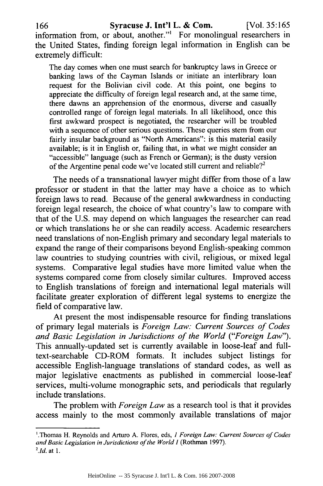information from, or about, another."' For monolingual researchers in the United States, finding foreign legal information in English can be extremely difficult:

The day comes when one must search for bankruptcy laws in Greece or banking laws of the Cayman Islands or initiate an interlibrary loan request for the Bolivian civil code. At this point, one begins to appreciate the difficulty of foreign legal research and, at the same time, there dawns an apprehension of the enormous, diverse and casually controlled range of foreign legal materials. In all likelihood, once this first awkward prospect is negotiated, the researcher will be troubled with a sequence of other serious questions. These queries stem from our fairly insular background as "North Americans": is this material easily available; is it in English or, failing that, in what we might consider an "accessible" language (such as French or German); is the dusty version of the Argentine penal code we've located still current and reliable?<sup>2</sup>

The needs of a transnational lawyer might differ from those of a law professor or student in that the latter may have a choice as to which foreign laws to read. Because of the general awkwardness in conducting foreign legal research, the choice of what country's law to compare with that of the U.S. may depend on which languages the researcher can read or which translations he or she can readily access. Academic researchers need translations of non-English primary and secondary legal materials to expand the range of their comparisons beyond English-speaking common law countries to studying countries with civil, religious, or mixed legal systems. Comparative legal studies have more limited value when the systems compared come from closely similar cultures. Improved access to English translations of foreign and international legal materials will facilitate greater exploration of different legal systems to energize the field of comparative law.

At present the most indispensable resource for finding translations of primary legal materials is *Foreign Law: Current Sources of Codes and Basic Legislation in Jurisdictions of the World ("Foreign Law").* This annually-updated set is currently available in loose-leaf and fulltext-searchable CD-ROM formats. It includes subject listings for accessible English-language translations of standard codes, as well as major legislative enactments as published in commercial loose-leaf services, multi-volume monographic sets, and periodicals that regularly include translations.

The problem with *Foreign Law* as a research tool is that it provides access mainly to the most commonly available translations of major

<sup>&#</sup>x27;.Thomas H. Reynolds and Arturo A. Flores, eds, *1 Foreign Law: Current Sources of Codes and Basic Legislation in Jurisdictions of the World 1* (Rothman 1997). *2 .1d.* at 1.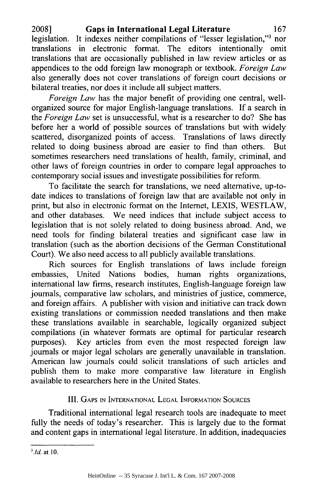**2008] Gaps in International Legal Literature 167** legislation. It indexes neither compilations of "lesser legislation,"3 nor translations in electronic format. The editors intentionally omit translations that are occasionally published in law review articles or as appendices to the odd foreign law monograph or textbook. *Foreign Law* also generally does not cover translations of foreign court decisions or bilateral treaties, nor does it include all subject matters.

*Foreign Law* has the major benefit of providing one central, wellorganized source for major English-language translations. If a search in the *Foreign Law* set is unsuccessful, what is a researcher to do? She has before her a world of possible sources of translations but with widely scattered, disorganized points of access. Translations of laws directly related to doing business abroad are easier to find than others. But sometimes researchers need translations of health, family, criminal, and other laws of foreign countries in order to compare legal approaches to contemporary social issues and investigate possibilities for reform.

To facilitate the search for translations, we need alternative, up-todate indices to translations of foreign law that are available not only in print, but also in electronic format on the Internet, LEXIS, WESTLAW, and other databases. We need indices that include subject access to legislation that is not solely related to doing business abroad. And, we need tools for finding bilateral treaties and significant case law in translation (such as the abortion decisions of the German Constitutional Court). We also need access to all publicly available translations.

Rich sources for English translations of laws include foreign embassies, United Nations bodies, human rights organizations, international law firms, research institutes, English-language foreign law journals, comparative law scholars, and ministries of justice, commerce, and foreign affairs. A publisher with vision and initiative can track down existing translations or commission needed translations and then make these translations available in searchable, logically organized subject compilations (in whatever formats are optimal for particular research purposes). Key articles from even the most respected foreign law journals or major legal scholars are generally unavailable in translation. American law journals could solicit translations of such articles and publish them to make more comparative law literature in English available to researchers here in the United States.

## III. **GAPS IN INTERNATIONAL LEGAL** INFORMATION **SOURCES**

Traditional international legal research tools are inadequate to meet fully the needs of today's researcher. This is largely due to the format and content gaps in international legal literature. In addition, inadequacies

*<sup>3</sup> .Id.* at **10.**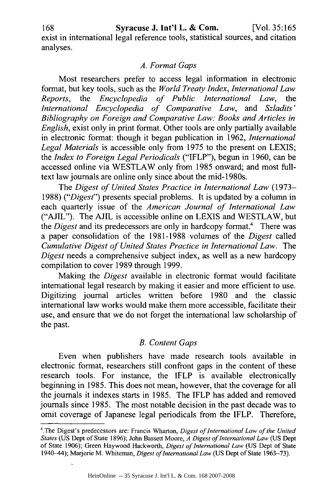exist in international legal reference tools, statistical sources, and citation analyses.

#### *A. Format Gaps*

Most researchers prefer to access legal information in electronic format, but key tools, such as the *World Treaty Index, International Law Reports,* the *Encyclopedia of Public International Law,* the *International Encyclopedia of Comparative Law,* and *Szladits' Bibliography on Foreign and Comparative Law: Books and Articles in English,* exist only in print format. Other tools are only partially available in electronic format: though it began publication in 1962, *International Legal Materials* is accessible only from 1975 to the present on LEXIS; the *Index to Foreign Legal Periodicals* ("IFLP"), begun in 1960, can be accessed online via WESTLAW only from 1985 onward; and most fulltext law journals are online only since about the mid-1980s.

*The Digest of United States Practice in International Law* (1973- 1988) *("Digest")* presents special problems. It is updated by a column in each quarterly issue of the *American Journal of International Law* ("AJIL"). The AJIL is accessible online on LEXIS and WESTLAW, but the *Digest* and its predecessors are only in hardcopy format.<sup>4</sup> There was a paper consolidation of the 1981-1988 volumes of the *Digest* called *Cumulative Digest of United States Practice in International Law.* The *Digest* needs a comprehensive subject index, as well as a new hardcopy compilation to cover 1989 through 1999.

Making the *Digest* available in electronic format would facilitate international legal research by making it easier and more efficient to use. Digitizing journal articles written before 1980 and the classic international law works would make them more accessible, facilitate their use, and ensure that we do not forget the international law scholarship of the past.

## *B. Content Gaps*

Even when publishers have made research tools available in electronic format, researchers still confront gaps in the content of these research tools. For instance, the IFLP is available electronically beginning in 1985. This does not mean, however, that the coverage for all the journals it indexes starts in 1985. The IFLP has added and removed journals since 1985. The most notable decision in the past decade was to omit coverage of Japanese legal periodicals from the IFLP. Therefore,

<sup>4</sup> .The Digest's predecessors are: Francis Wharton, *Digest of International Law of the United States* (US Dept of State 1896); John Bassett Moore, *A Digest ofInternational Law* (US Dept of State 1906); Green Haywood Hackworth, *Digest of International Law* (US Dept of State 1940-44); Marjorie M. Whiteman, *Digest of International Law* (US Dept of State 1963-73).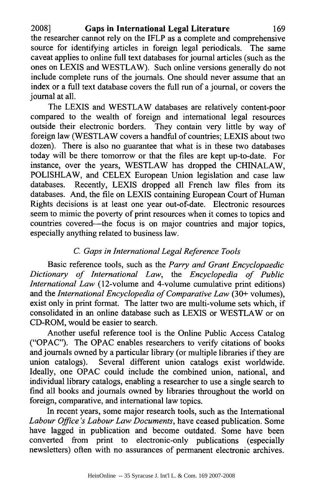**2008] Gaps in International Legal Literature 169** the researcher cannot rely on the IFLP as a complete and comprehensive source for identifying articles in foreign legal periodicals. The same caveat applies to online full text databases for journal articles (such as the ones on **LEXIS** and WESTLAW). Such online versions generally do not include complete runs of the journals. One should never assume that an index or a full text database covers the full run of a journal, or covers the journal at all.

The **LEXIS** and WESTLAW databases are relatively content-poor compared to the wealth of foreign and international legal resources outside their electronic borders. They contain very little **by** way of foreign law (WESTLAW covers a handful of countries; **LEXIS** about two dozen). There is also no guarantee that what is in these two databases today will be there tomorrow or that the files are kept up-to-date. For instance, over the years, WESTLAW has dropped the **CHINALAW,** POLISHLAW, and **CELEX** European Union legislation and case law databases. Recently, **LEXIS** dropped all French law files from its databases. And, the file on **LEXIS** containing European Court of Human Rights decisions is at least one year out-of-date. Electronic resources seem to mimic the poverty of print resources when it comes to topics and countries covered—the focus is on major countries and major topics, especially anything related to business law.

## *C. Gaps in International Legal Reference Tools*

Basic reference tools, such as the *Parry and Grant Encyclopaedic Dictionary of International Law,* the *Encyclopedia of Public International Law* (12-volume and 4-volume cumulative print editions) and the *International Encyclopedia of Comparative Law* **(30+** volumes), exist only in print format. The latter two are multi-volume sets which, if consolidated in an online database such as **LEXIS** or WESTLAW or on CD-ROM, would be easier to search.

Another useful reference tool is the Online Public Access Catalog ("OPAC"). The **OPAC** enables researchers to verify citations of books and journals owned **by** a particular library (or multiple libraries if they are union catalogs). Several different union catalogs exist worldwide. Ideally, one **OPAC** could include the combined union, national, and individual library catalogs, enabling a researcher to use a single search to find all books and journals owned **by** libraries throughout the world on foreign, comparative, and international law topics.

In recent years, some major research tools, such as the International *Labour Office's Labour Law Documents,* have ceased publication. Some have lagged in publication and become outdated. Some have been converted from print to electronic-only publications (especially newsletters) often with no assurances of permanent electronic archives.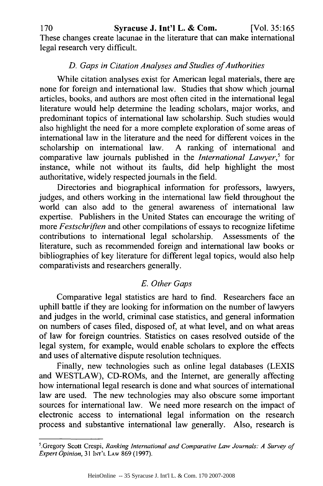These changes create lacunae in the literature that can make international legal research very difficult.

# *D. Gaps in Citation Analyses and Studies ofAuthorities*

While citation analyses exist for American legal materials, there are none for foreign and international law. Studies that show which journal articles, books, and authors are most often cited in the international legal literature would help determine the leading scholars, major works, and predominant topics of international law scholarship. Such studies would also highlight the need for a more complete exploration of some areas of international law in the literature and the need for different voices in the scholarship on international law. A ranking of international and comparative law journals published in the *International Lawyer,5* for instance, while not without its faults, did help highlight the most authoritative, widely respected journals in the field.

Directories and biographical information for professors, lawyers, judges, and others working in the international law field throughout the world can also add to the general awareness of international law expertise. Publishers in the United States can encourage the writing of more *Festschrifien* and other compilations of essays to recognize lifetime contributions to international legal scholarship. Assessments of the literature, such as recommended foreign and international law books or bibliographies of key literature for different legal topics, would also help comparativists and researchers generally.

# *E. Other Gaps*

Comparative legal statistics are hard to find. Researchers face an uphill battle if they are looking for information on the number of lawyers and judges in the world, criminal case statistics, and general information on numbers of cases filed, disposed of, at what level, and on what areas of law for foreign countries. Statistics on cases resolved outside of the legal system, for example, would enable scholars to explore the effects and uses of alternative dispute resolution techniques.

Finally, new technologies such as online legal databases (LEXIS and WESTLAW), CD-ROMs, and the Internet, are generally affecting how international legal research is done and what sources of international law are used. The new technologies may also obscure some important sources for international law. We need more research on the impact of electronic access to international legal information on the research process and substantive international law generally. Also, research is

<sup>&#</sup>x27;.Gregory Scott Crespi, *Ranking International and Comparative Law Journals: A Survey of Expert Opinion,* 31 **INT'L** LAw 869 (1997).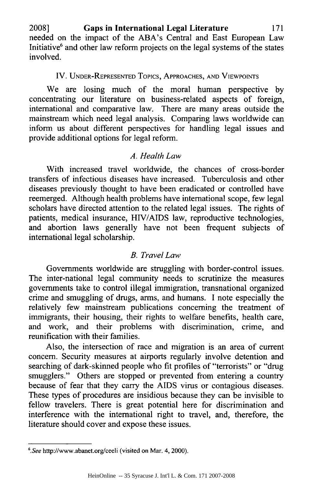**2008] Gaps in International Legal Literature 171** needed on the impact of the ABA's Central and East European Law Initiative $<sup>6</sup>$  and other law reform projects on the legal systems of the states</sup> involved.

#### IV. UNDER-REPRESENTED Topics, APPROACHES, AND VIEWPOINTS

We are losing much of the moral human perspective by concentrating our literature on business-related aspects of foreign, international and comparative law. There are many areas outside the mainstream which need legal analysis. Comparing laws worldwide can inform us about different perspectives for handling legal issues and provide additional options for legal reform.

## *A. Health Law*

With increased travel worldwide, the chances of cross-border transfers of infectious diseases have increased. Tuberculosis and other diseases previously thought to have been eradicated or controlled have reemerged. Although health problems have international scope, few legal scholars have directed attention to the related legal issues. The rights of patients, medical insurance, HIV/AIDS law, reproductive technologies, and abortion laws generally have not been frequent subjects of international legal scholarship.

## *B. Travel Law*

Governments worldwide are struggling with border-control issues. The inter-national legal community needs to scrutinize the measures governments take to control illegal immigration, transnational organized crime and smuggling of drugs, arms, and humans. I note especially the relatively few mainstream publications concerning the treatment of immigrants, their housing, their rights to welfare benefits, health care, and work, and their problems with discrimination, crime, and reunification with their families.

Also, the intersection of race and migration is an area of current concern. Security measures at airports regularly involve detention and searching of dark-skinned people who fit profiles of "terrorists" or "drug smugglers." Others are stopped or prevented from entering a country because of fear that they carry the AIDS virus or contagious diseases. These types of procedures are insidious because they can be invisible to fellow travelers. There is great potential here for discrimination and interference with the international right to travel, and, therefore, the literature should cover and expose these issues.

<sup>&</sup>lt;sup>6</sup>. See http://www.abanet.org/ceeli (visited on Mar. 4, 2000).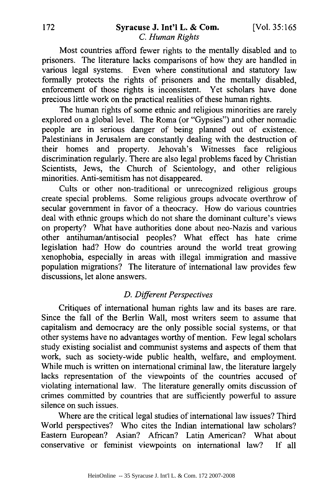#### 172 Syracuse **J.** Int'l L. **&** Com. [Vol. 35:165 *C. Human Rights*

Most countries afford fewer rights to the mentally disabled and to prisoners. The literature lacks comparisons of how they are handled in various legal systems. Even where constitutional and statutory law formally protects the rights of prisoners and the mentally disabled, enforcement of those rights is inconsistent. Yet scholars have done precious little work on the practical realities of these human rights.

The human rights of some ethnic and religious minorities are rarely explored on a global level. The Roma (or "Gypsies") and other nomadic people are in serious danger of being planned out of existence. Palestinians in Jerusalem are constantly dealing with the destruction of their homes and property. Jehovah's Witnesses face religious discrimination regularly. There are also legal problems faced by Christian Scientists, Jews, the Church of Scientology, and other religious minorities. Anti-semitism has not disappeared.

Cults or other non-traditional or unrecognized religious groups create special problems. Some religious groups advocate overthrow of secular government in favor of a theocracy. How do various countries deal with ethnic groups which do not share the dominant culture's views on property? What have authorities done about neo-Nazis and various other antihuman/antisocial peoples? What effect has hate crime legislation had? How do countries around the world treat growing xenophobia, especially in areas with illegal immigration and massive population migrations? The literature of international law provides few discussions, let alone answers.

#### *D. Different Perspectives*

Critiques of international human rights law and its bases are rare. Since the fall of the Berlin Wall, most writers seem to assume that capitalism and democracy are the only possible social systems, or that other systems have no advantages worthy of mention. Few legal scholars study existing socialist and communist systems and aspects of them that work, such as society-wide public health, welfare, and employment. While much is written on international criminal law, the literature largely lacks representation of the viewpoints of the countries accused of violating international law. The literature generally omits discussion of crimes committed by countries that are sufficiently powerful to assure silence on such issues.

Where are the critical legal studies of international law issues? Third World perspectives? Who cites the Indian international law scholars? Eastern European? Asian? African? Latin American? What about conservative or feminist viewpoints on international law? If all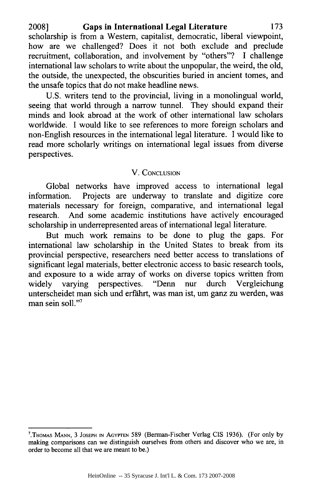**2008] Gaps in International Legal Literature 173** scholarship is from a Western, capitalist, democratic, liberal viewpoint, how are we challenged? Does it not both exclude and preclude recruitment, collaboration, and involvement **by** "others"? **I** challenge international law scholars to write about the unpopular, the weird, the old, the outside, the unexpected, the obscurities buried in ancient tomes, and the unsafe topics that do not make headline news.

**U.S.** writers tend to the provincial, living in a monolingual world, seeing that world through a narrow tunnel. They should expand their minds and look abroad at the work of other international law scholars worldwide. **I** would like to see references to more foreign scholars and non-English resources in the international legal literature. **I** would like to read more scholarly writings on international legal issues from diverse perspectives.

#### V. CONCLUSION

Global networks have improved access to international legal information. Projects are underway to translate and digitize core materials necessary for foreign, comparative, and international legal research. And some academic institutions have actively encouraged scholarship in underrepresented areas of international legal literature.

But much work remains to be done to plug the gaps. For international law scholarship in the United States to break from its provincial perspective, researchers need better access to translations of significant legal materials, better electronic access to basic research tools, and exposure to a wide array of works on diverse topics written from widely varying perspectives. "Denn nur durch Vergleichung unterscheidet man sich und erfahrt, was man ist, um ganz zu werden, was man sein soll."<sup>7</sup>

**<sup>7</sup> .THOMAS M.iANN,** 3 **JOSEPH** IN AGYPTEN 589 (Berman-Fischer Verlag CIS 1936). (For only by making comparisons can we distinguish ourselves from others and discover who we are, in order to become all that we are meant to be.)